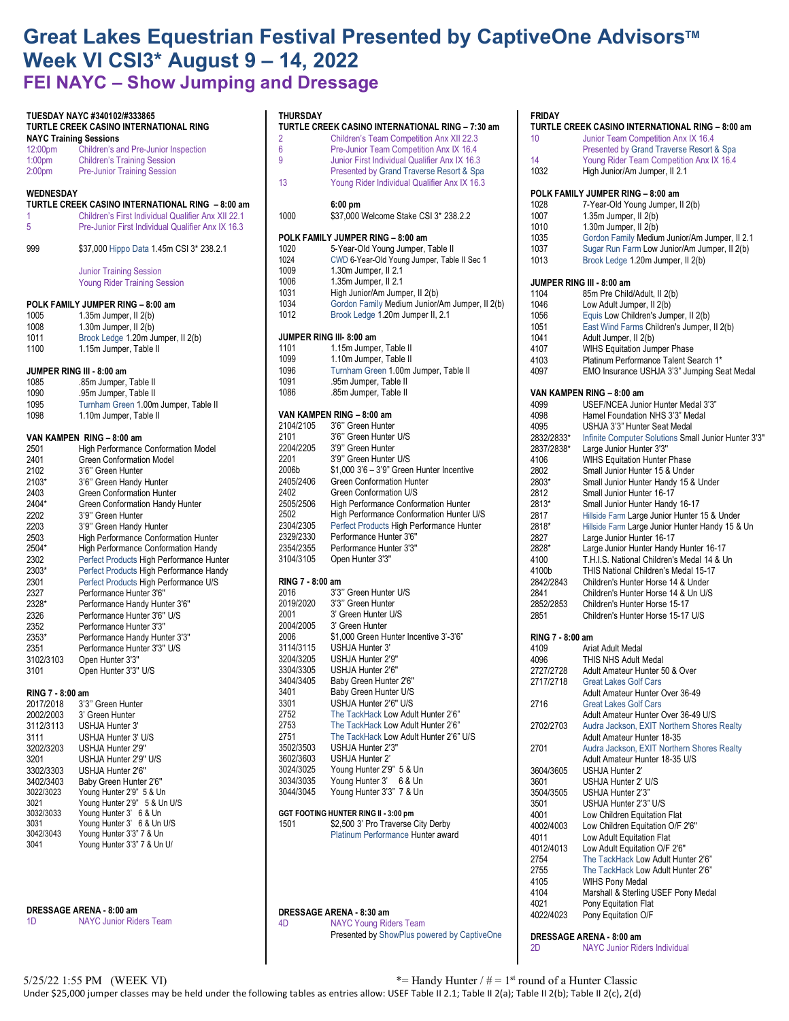## Great Lakes Equestrian Festival Presented by CaptiveOne Advisors<sup>™</sup> **Week VI CSI3\* August 9 – 14, 2022 FEI NAYC – Show Jumping and Dressage**

**TURTLE CREEK CASINO INTERNATIONAL RING – 7:30 am** 2 Children's Team Competition Anx XII 22.3 6 Pre-Junior Team Competition Anx IX 16.4

13 Young Rider Individual Qualifier Anx IX 16.3

1000 \$37,000 Welcome Stake CSI 3\* 238.2.2

**6:00 pm**

1009 1.30m Jumper, II 2.1 1006 1.35m Jumper, II 2.1<br>1031 High Junior/Am Jump 1031 High Junior/Am Jumper, II 2(b)<br>1034 Gordon Family Medium Junior/

1086 .85m Jumper, Table II

2402 Green Conformation U/S<br>2505/2506 High Performance Confor

2329/2330 Performance Hunter 3'6'' 2354/2355 Performance Hunter 3'3'' Open Hunter 3'3"

2016 3'3" Green Hunter U/S<br>2019/2020 3'3" Green Hunter 3'3" Green Hunter 2001 3' Green Hunter U/S 2004/2005 3' Green Hunter

3204/3205 USHJA Hunter 2'9'' 3304/3305 USHJA Hunter 2'6''

3502/3503 USHJA Hunter 2'3''

3401 Baby Green Hunter U/S 3301 USHJA Hunter 2'6'' U/S 2752 The TackHack Low Adult Hunter 2'6"<br>2753 The TackHack Low Adult Hunter 2'6"

**RING 7 - 8:00 am**

**VAN KAMPEN RING – 8:00 am**

**JUMPER RING III- 8:00 am** 1101 1.15m Jumper, Table II 1099 1.10m Jumper, Table II

**POLK FAMILY JUMPER RING – 8:00 am** 1020 5-Year-Old Young Jumper, Table II 1024 CWD 6-Year-Old Young Jumper, Table II Sec 1

1012 Brook Ledge 1.20m Jumper II, 2.1

1096 Turnham Green 1.00m Jumper, Table II .95m Jumper, Table II

2006b \$1,000 3'6 – 3'9" Green Hunter Incentive **Green Conformation Hunter** 

2505/2506 High Performance Conformation Hunter 2502 High Performance Conformation Hunter U/S 2304/2305 Perfect Products High Performance Hunter<br>2329/2330 Performance Hunter 3'6"

2006 \$1,000 Green Hunter Incentive 3'-3'6" USHJA Hunter 3'

Baby Green Hunter 2'6"

The TackHack Low Adult Hunter 2'6" 2751 The TackHack Low Adult Hunter 2'6" U/S

3'6" Green Hunter 2101 3'6'' Green Hunter U/S 2204/2205 3'9'' Green Hunter 2201 3'9" Green Hunter U/S<br>
2006b \$1,000 3'6 - 3'9" Green

Junior First Individual Qualifier Anx IX 16.3 Presented by Grand Traverse Resort & Spa

Gordon Family Medium Junior/Am Jumper, II 2(b)

**THURSDAY**

| TUESDAY NAYC #340102/#333865<br>TURTLE CREEK CASINO INTERNATIONAL RING<br><b>NAYC Training Sessions</b><br>12:00pm<br>Children's and Pre-Junior Inspection |                                                                                                        |  |
|------------------------------------------------------------------------------------------------------------------------------------------------------------|--------------------------------------------------------------------------------------------------------|--|
| 1:00 <sub>pm</sub><br>2:00 <sub>pm</sub>                                                                                                                   | <b>Children's Training Session</b><br><b>Pre-Junior Training Session</b>                               |  |
| WEDNESDAY<br>1                                                                                                                                             | TURTLE CREEK CASINO INTERNATIONAL RING - 8:00 am<br>Children's First Individual Qualifier Anx XII 22.1 |  |
| 5                                                                                                                                                          | Pre-Junior First Individual Qualifier Anx IX 16.3                                                      |  |
| 999                                                                                                                                                        | \$37,000 Hippo Data 1.45m CSI 3* 238.2.1                                                               |  |
|                                                                                                                                                            | <b>Junior Training Session</b><br><b>Young Rider Training Session</b>                                  |  |
|                                                                                                                                                            | POLK FAMILY JUMPER RING - 8:00 am                                                                      |  |
| 1005                                                                                                                                                       | 1.35m Jumper, II 2(b)                                                                                  |  |
| 1008                                                                                                                                                       | 1.30m Jumper, II 2(b)                                                                                  |  |
| 1011<br>1100                                                                                                                                               | Brook Ledge 1.20m Jumper, II 2(b)<br>1.15m Jumper, Table II                                            |  |
| JUMPER RING III - 8:00 am                                                                                                                                  |                                                                                                        |  |
| 1085<br>1090                                                                                                                                               | .85m Jumper, Table II                                                                                  |  |
| 1095                                                                                                                                                       | .95m Jumper, Table II<br>Turnham Green 1.00m Jumper, Table II                                          |  |
| 1098                                                                                                                                                       | 1.10m Jumper, Table II                                                                                 |  |
|                                                                                                                                                            | VAN KAMPEN RING - 8:00 am                                                                              |  |
| 2501                                                                                                                                                       | <b>High Performance Conformation Model</b>                                                             |  |
| 2401                                                                                                                                                       | <b>Green Conformation Model</b>                                                                        |  |
| 2102                                                                                                                                                       | 3'6" Green Hunter                                                                                      |  |
| 2103*                                                                                                                                                      | 3'6" Green Handy Hunter                                                                                |  |
| 2403<br>2404*                                                                                                                                              | Green Conformation Hunter<br>Green Conformation Handy Hunter                                           |  |
| 2202                                                                                                                                                       | 3'9" Green Hunter                                                                                      |  |
| 2203                                                                                                                                                       | 3'9" Green Handy Hunter                                                                                |  |
| 2503                                                                                                                                                       | High Performance Conformation Hunter                                                                   |  |
| 2504*                                                                                                                                                      | <b>High Performance Conformation Handy</b>                                                             |  |
| 2302                                                                                                                                                       | Perfect Products High Performance Hunter                                                               |  |
| 2303*                                                                                                                                                      | Perfect Products High Performance Handy                                                                |  |
| 2301                                                                                                                                                       | Perfect Products High Performance U/S                                                                  |  |
| 2327<br>2328*                                                                                                                                              | Performance Hunter 3'6"<br>Performance Handy Hunter 3'6"                                               |  |
| 2326                                                                                                                                                       | Performance Hunter 3'6" U/S                                                                            |  |
| 2352                                                                                                                                                       | Performance Hunter 3'3"                                                                                |  |
| 2353*                                                                                                                                                      | Performance Handy Hunter 3'3"                                                                          |  |
| 2351                                                                                                                                                       | Performance Hunter 3'3" U/S                                                                            |  |
| 3102/3103<br>3101                                                                                                                                          | Open Hunter 3'3"<br>Open Hunter 3'3" U/S                                                               |  |
| RING 7 - 8:00 am                                                                                                                                           |                                                                                                        |  |
| 2017/2018                                                                                                                                                  | 3'3" Green Hunter                                                                                      |  |
| 2002/2003                                                                                                                                                  | 3' Green Hunter                                                                                        |  |
| 3112/3113                                                                                                                                                  | USHJA Hunter 3'                                                                                        |  |
| 3111                                                                                                                                                       | USHJA Hunter 3' U/S                                                                                    |  |
| 3202/3203                                                                                                                                                  | USHJA Hunter 2'9"                                                                                      |  |
| 3201                                                                                                                                                       | USHJA Hunter 2'9" U/S                                                                                  |  |
| 3302/3303<br>3402/3403                                                                                                                                     | USHJA Hunter 2'6"<br>Baby Green Hunter 2'6"                                                            |  |
| 3022/3023                                                                                                                                                  | Young Hunter 2'9" 5 & Un                                                                               |  |
| 3021                                                                                                                                                       | Young Hunter 2'9" 5 & Un U/S                                                                           |  |
| 3032/3033                                                                                                                                                  | Young Hunter 3' 6 & Un                                                                                 |  |
| 3031                                                                                                                                                       | Young Hunter 3' 6 & Un U/S                                                                             |  |
| 3042/3043<br>3041                                                                                                                                          | Young Hunter 3'3" 7 & Un<br>Young Hunter 3'3" 7 & Un U/                                                |  |
|                                                                                                                                                            |                                                                                                        |  |
|                                                                                                                                                            |                                                                                                        |  |

| DRESSAGE ARENA - 8:00 am |                                |  |  |
|--------------------------|--------------------------------|--|--|
| 1 <sub>D</sub>           | <b>NAYC Junior Riders Team</b> |  |  |

| 3602/3603<br>3024/3025 | USHJA Hunter 2'<br>Young Hunter 2'9" 5 & Un                             |
|------------------------|-------------------------------------------------------------------------|
| 3034/3035              | Young Hunter 3' 6 & Un                                                  |
| 3044/3045              | Young Hunter 3'3" 7 & Un                                                |
|                        | GGT FOOTING HUNTER RING II - 3:00 pm                                    |
| 1501                   | \$2,500 3' Pro Traverse City Derby<br>Platinum Performance Hunter award |
|                        | DRESSAGE ARENA - 8:30 am                                                |
| 4D                     | <b>NAYC Young Riders Team</b>                                           |
|                        | Presented by ShowPlus powered by C                                      |

| 10<br>14<br>1032<br>1028<br>1007<br>1010<br>1035 | Junior Team Competition Anx IX 16.4<br>Presented by Grand Traverse Resort & Spa<br>Young Rider Team Competition Anx IX 16.4<br>High Junior/Am Jumper, II 2.1<br>POLK FAMILY JUMPER RING - 8:00 am |
|--------------------------------------------------|---------------------------------------------------------------------------------------------------------------------------------------------------------------------------------------------------|
|                                                  |                                                                                                                                                                                                   |
|                                                  |                                                                                                                                                                                                   |
|                                                  |                                                                                                                                                                                                   |
|                                                  |                                                                                                                                                                                                   |
|                                                  | 7-Year-Old Young Jumper, Il 2(b)                                                                                                                                                                  |
|                                                  | 1.35m Jumper, II 2(b)                                                                                                                                                                             |
|                                                  | 1.30m Jumper, II 2(b)                                                                                                                                                                             |
|                                                  | Gordon Family Medium Junior/Am Jumper, II 2.1                                                                                                                                                     |
| 1037<br>1013                                     | Sugar Run Farm Low Junior/Am Jumper, Il 2(b)<br>Brook Ledge 1.20m Jumper, II 2(b)                                                                                                                 |
|                                                  | JUMPER RING III - 8:00 am                                                                                                                                                                         |
| 1104                                             | 85m Pre Child/Adult, II 2(b)                                                                                                                                                                      |
| 1046                                             | Low Adult Jumper, II 2(b)                                                                                                                                                                         |
| 1056                                             | Equis Low Children's Jumper, II 2(b)                                                                                                                                                              |
| 1051                                             | East Wind Farms Children's Jumper, Il 2(b)                                                                                                                                                        |
| 1041                                             | Adult Jumper, II 2(b)                                                                                                                                                                             |
| 4107                                             | <b>WIHS Equitation Jumper Phase</b>                                                                                                                                                               |
| 4103                                             | Platinum Performance Talent Search 1*                                                                                                                                                             |
| 4097                                             | EMO Insurance USHJA 3'3" Jumping Seat Medal                                                                                                                                                       |
|                                                  | VAN KAMPEN RING - 8:00 am                                                                                                                                                                         |
| 4099                                             | USEF/NCEA Junior Hunter Medal 3'3"<br>Hamel Foundation NHS 3'3" Medal                                                                                                                             |
| 4098<br>4095                                     | USHJA 3'3" Hunter Seat Medal                                                                                                                                                                      |
| 2832/2833*                                       | Infinite Computer Solutions Small Junior Hunter 3'3"                                                                                                                                              |
| 2837/2838*                                       | Large Junior Hunter 3'3"                                                                                                                                                                          |
| 4106                                             | <b>WIHS Equitation Hunter Phase</b>                                                                                                                                                               |
| 2802                                             | Small Junior Hunter 15 & Under                                                                                                                                                                    |
| 2803*                                            | Small Junior Hunter Handy 15 & Under                                                                                                                                                              |
| 2812                                             | Small Junior Hunter 16-17                                                                                                                                                                         |
| 2813*                                            | Small Junior Hunter Handy 16-17                                                                                                                                                                   |
| 2817                                             | Hillside Farm Large Junior Hunter 15 & Under                                                                                                                                                      |
| 2818*                                            | Hillside Farm Large Junior Hunter Handy 15 & Un                                                                                                                                                   |
| 2827                                             | Large Junior Hunter 16-17                                                                                                                                                                         |
| 2828*                                            | Large Junior Hunter Handy Hunter 16-17                                                                                                                                                            |
| 4100<br>4100b                                    | T.H.I.S. National Children's Medal 14 & Un<br>THIS National Children's Medal 15-17                                                                                                                |
| 2842/2843                                        | Children's Hunter Horse 14 & Under                                                                                                                                                                |
| 2841                                             | Children's Hunter Horse 14 & Un U/S                                                                                                                                                               |
| 2852/2853                                        | Children's Hunter Horse 15-17                                                                                                                                                                     |
| 2851                                             | Children's Hunter Horse 15-17 U/S                                                                                                                                                                 |
| RING 7 - 8:00 am                                 |                                                                                                                                                                                                   |
| 4109                                             | Ariat Adult Medal                                                                                                                                                                                 |
| 4096                                             | THIS NHS Adult Medal                                                                                                                                                                              |
| 2727/2728                                        | Adult Amateur Hunter 50 & Over                                                                                                                                                                    |
| 2717/2718                                        | <b>Great Lakes Golf Cars</b>                                                                                                                                                                      |
| 2716                                             | Adult Amateur Hunter Over 36-49<br><b>Great Lakes Golf Cars</b>                                                                                                                                   |
|                                                  | Adult Amateur Hunter Over 36-49 U/S                                                                                                                                                               |
| 2702/2703                                        | Audra Jackson, EXIT Northern Shores Realty                                                                                                                                                        |
|                                                  | Adult Amateur Hunter 18-35                                                                                                                                                                        |
| 2701                                             | Audra Jackson, EXIT Northern Shores Realty                                                                                                                                                        |
|                                                  | Adult Amateur Hunter 18-35 U/S                                                                                                                                                                    |
| 3604/3605                                        | USHJA Hunter 2'                                                                                                                                                                                   |
| 3601                                             | USHJA Hunter 2' U/S                                                                                                                                                                               |
| 3504/3505                                        | USHJA Hunter 2'3"                                                                                                                                                                                 |
| 3501                                             | USHJA Hunter 2'3" U/S                                                                                                                                                                             |
| 4001                                             | Low Children Equitation Flat                                                                                                                                                                      |
| 4002/4003                                        | Low Children Equitation O/F 2'6"                                                                                                                                                                  |
|                                                  | Low Adult Equitation Flat                                                                                                                                                                         |
|                                                  |                                                                                                                                                                                                   |
|                                                  | Low Adult Equitation O/F 2'6"                                                                                                                                                                     |
|                                                  | The TackHack Low Adult Hunter 2'6"                                                                                                                                                                |
| 4011<br>4012/4013<br>2754<br>2755                | The TackHack Low Adult Hunter 2'6"                                                                                                                                                                |
| 4105                                             | <b>WIHS Pony Medal</b>                                                                                                                                                                            |
| 4104<br>4021                                     | Marshall & Sterling USEF Pony Medal<br>Pony Equitation Flat                                                                                                                                       |

**DRESSAGE ARENA - 8:00 am** 

2D NAYC Junior Riders Individual

aptiveOne